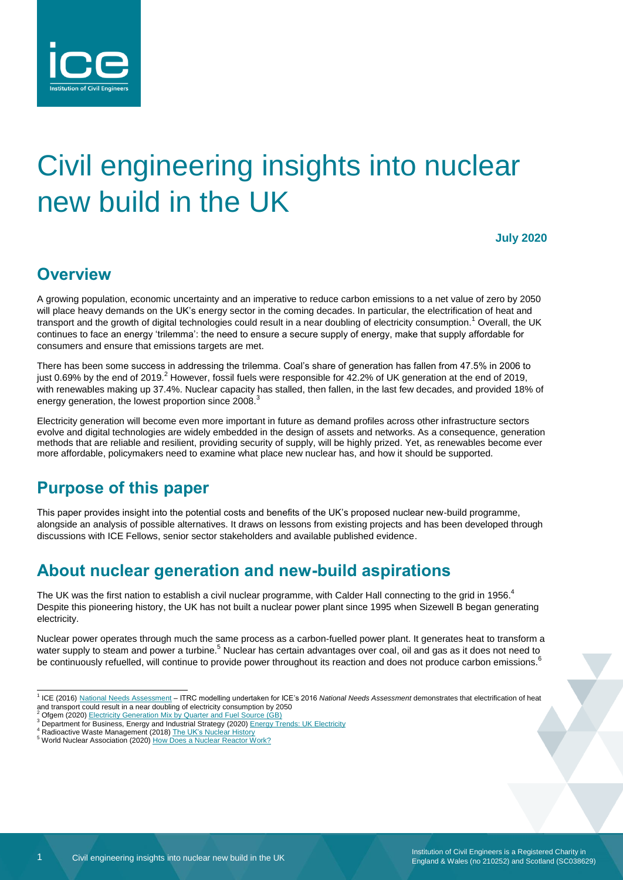

# Civil engineering insights into nuclear new build in the UK

**July 2020**

## **Overview**

A growing population, economic uncertainty and an imperative to reduce carbon emissions to a net value of zero by 2050 will place heavy demands on the UK's energy sector in the coming decades. In particular, the electrification of heat and transport and the growth of digital technologies could result in a near doubling of electricity consumption.<sup>1</sup> Overall, the UK continues to face an energy 'trilemma': the need to ensure a secure supply of energy, make that supply affordable for consumers and ensure that emissions targets are met.

There has been some success in addressing the trilemma. Coal's share of generation has fallen from 47.5% in 2006 to just 0.69% by the end of 2019.<sup>2</sup> However, fossil fuels were responsible for 42.2% of UK generation at the end of 2019, with renewables making up 37.4%. Nuclear capacity has stalled, then fallen, in the last few decades, and provided 18% of energy generation, the lowest proportion since 2008.<sup>3</sup>

Electricity generation will become even more important in future as demand profiles across other infrastructure sectors evolve and digital technologies are widely embedded in the design of assets and networks. As a consequence, generation methods that are reliable and resilient, providing security of supply, will be highly prized. Yet, as renewables become ever more affordable, policymakers need to examine what place new nuclear has, and how it should be supported.

## **Purpose of this paper**

This paper provides insight into the potential costs and benefits of the UK's proposed nuclear new-build programme, alongside an analysis of possible alternatives. It draws on lessons from existing projects and has been developed through discussions with ICE Fellows, senior sector stakeholders and available published evidence.

## **About nuclear generation and new-build aspirations**

The UK was the first nation to establish a civil nuclear programme, with Calder Hall connecting to the grid in 1956.<sup>4</sup> Despite this pioneering history, the UK has not built a nuclear power plant since 1995 when Sizewell B began generating electricity.

Nuclear power operates through much the same process as a carbon-fuelled power plant. It generates heat to transform a water supply to steam and power a turbine.<sup>5</sup> Nuclear has certain advantages over coal, oil and gas as it does not need to be continuously refuelled, will continue to provide power throughout its reaction and does not produce carbon emissions.<sup>6</sup>

 1 ICE (2016) [National Needs Assessment](https://www.ice.org.uk/getattachment/news-and-insight/policy/national-needs-assessment-a-vision-for-uk-infrastr/National-Needs-Assessment-PDF-(1).pdf.aspx#_ga=2.66441326.1196886251.1532086890-2039761902.1517910772) – ITRC modelling undertaken for ICE's 2016 *National Needs Assessment* demonstrates that electrification of heat and transport could result in a near doubling of electricity consumption by 2050<br><sup>2</sup> Ofgem (2020) <u>Electricity Generation Mix by Quarter and Fuel Source (GB)</u>

<sup>3</sup> Department for Business, Energy and Industrial Strategy (2020[\) Energy Trends: UK Electricity](https://www.gov.uk/government/statistics/electricity-section-5-energy-trends)

Radioactive Waste Management (2018[\) The UK's Nuclear History](https://www.gov.uk/guidance/the-uks-nuclear-history) 5 World Nuclear Association (2020) [How Does a Nuclear Reactor Work?](https://www.world-nuclear.org/nuclear-essentials/how-does-a-nuclear-reactor-work.aspx)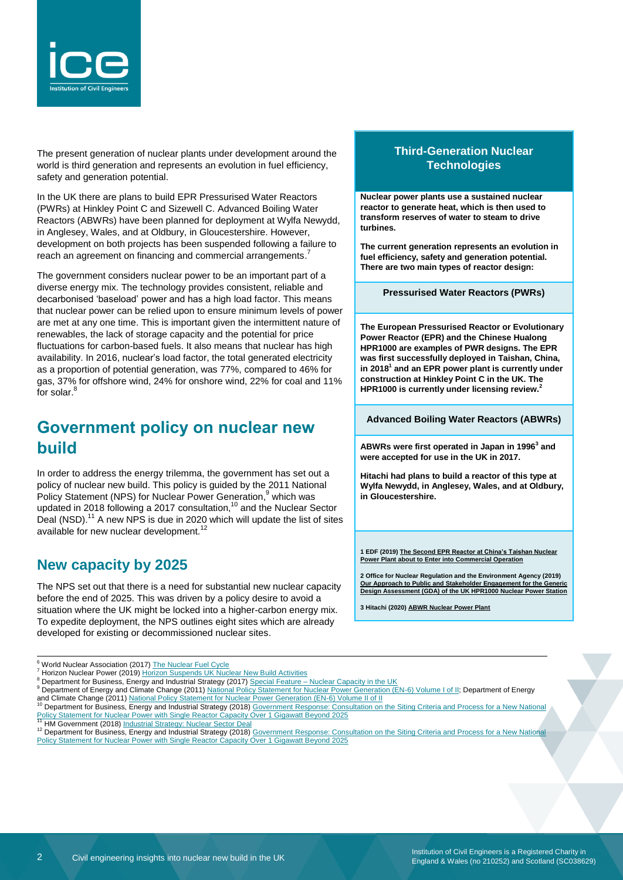

The present generation of nuclear plants under development around the world is third generation and represents an evolution in fuel efficiency, safety and generation potential.

In the UK there are plans to build EPR Pressurised Water Reactors (PWRs) at Hinkley Point C and Sizewell C. Advanced Boiling Water Reactors (ABWRs) have been planned for deployment at Wylfa Newydd, in Anglesey, Wales, and at Oldbury, in Gloucestershire. However, development on both projects has been suspended following a failure to reach an agreement on financing and commercial arrangements.<sup>7</sup>

The government considers nuclear power to be an important part of a diverse energy mix. The technology provides consistent, reliable and decarbonised 'baseload' power and has a high load factor. This means that nuclear power can be relied upon to ensure minimum levels of power are met at any one time. This is important given the intermittent nature of renewables, the lack of storage capacity and the potential for price fluctuations for carbon-based fuels. It also means that nuclear has high availability. In 2016, nuclear's load factor, the total generated electricity as a proportion of potential generation, was 77%, compared to 46% for gas, 37% for offshore wind, 24% for onshore wind, 22% for coal and 11% for solar.<sup>8</sup>

## **Government policy on nuclear new build**

In order to address the energy trilemma, the government has set out a policy of nuclear new build. This policy is guided by the 2011 National Policy Statement (NPS) for Nuclear Power Generation,<sup>9</sup> which was updated in 2018 following a 2017 consultation,<sup>10</sup> and the Nuclear Sector Deal (NSD).<sup>11</sup> A new NPS is due in 2020 which will update the list of sites available for new nuclear development.<sup>12</sup>

#### **New capacity by 2025**

l

The NPS set out that there is a need for substantial new nuclear capacity before the end of 2025. This was driven by a policy desire to avoid a situation where the UK might be locked into a higher-carbon energy mix. To expedite deployment, the NPS outlines eight sites which are already developed for existing or decommissioned nuclear sites.

#### **Third-Generation Nuclear Technologies**

**Nuclear power plants use a sustained nuclear reactor to generate heat, which is then used to transform reserves of water to steam to drive turbines.**

**The current generation represents an evolution in fuel efficiency, safety and generation potential. There are two main types of reactor design:**

**Pressurised Water Reactors (PWRs)**

**The European Pressurised Reactor or Evolutionary Power Reactor (EPR) and the Chinese Hualong HPR1000 are examples of PWR designs. The EPR was first successfully deployed in Taishan, China, in 2018<sup>1</sup> and an EPR power plant is currently under construction at Hinkley Point C in the UK. The HPR1000 is currently under licensing review.<sup>2</sup>**

**Advanced Boiling Water Reactors (ABWRs)**

**ABWRs were first operated in Japan in 1996<sup>3</sup> and were accepted for use in the UK in 2017.**

**Hitachi had plans to build a reactor of this type at Wylfa Newydd, in Anglesey, Wales, and at Oldbury, in Gloucestershire.**

**1 EDF (2019[\) The Second EPR Reactor at China's Taishan Nuclear](https://www.edfenergy.com/media-centre/news-releases/second-epr-reactor-china%E2%80%99s-taishan-nuclear-power-plant-about-enter)  [Power Plant about to Enter into Commercial Operation](https://www.edfenergy.com/media-centre/news-releases/second-epr-reactor-china%E2%80%99s-taishan-nuclear-power-plant-about-enter)**

**2 Office for Nuclear Regulation and the Environment Agency (2019) [Our Approach to Public and Stakeholder Engagement for the Generic](http://www.onr.org.uk/new-reactors/uk-hpr1000/reports/hpr1000-engagement.pdf)  [Design Assessment \(GDA\) of the UK HPR1000 Nuclear Power Station](http://www.onr.org.uk/new-reactors/uk-hpr1000/reports/hpr1000-engagement.pdf)**

**3 Hitachi (2020[\) ABWR Nuclear Power Plant](https://nuclear.gepower.com/build-a-plant/products/nuclear-power-plants-overview/abwr)**

<sup>&</sup>lt;sup>6</sup> World Nuclear Association (2017) [The Nuclear Fuel Cycle](https://www.world-nuclear.org/information-library/nuclear-fuel-cycle/introduction/nuclear-fuel-cycle-overview.aspx)

<sup>7</sup> Horizon Nuclear Power (2019) [Horizon Suspends UK Nuclear New Build Activities](https://www.horizonnuclearpower.com/news-and-events/news/news-details/568)

Bepartment for Business, Energy and Industrial Strategy (2017) Special Feature – [Nuclear Capacity in the UK](https://assets.publishing.service.gov.uk/government/uploads/system/uploads/attachment_data/file/604271/Nuclear_Capacity_in_the_UK.pdf)

<sup>9</sup> Department of Energy and Climate Change (2011[\) National Policy Statement for Nuclear Power Generation \(EN-6\) Volume I of II;](https://assets.publishing.service.gov.uk/government/uploads/system/uploads/attachment_data/file/47859/2009-nps-for-nuclear-volumeI.pdf) Department of Energy

and Climate Change (2011) <u>National Policy Statement for Nuclear Power Generation (EN-6) Volume II of II</u><br><sup>10</sup> Department for Business, Energy and Industrial Strategy (2018) Government Response: Consultation on the Siting

[Policy Statement for Nuclear Power with Single Reactor Capacity Over 1 Gigawatt Beyond 2025](https://assets.publishing.service.gov.uk/government/uploads/system/uploads/attachment_data/file/727628/NPS_Siting_Criteria_Consultation_-_Government_Response.pdf) <sup>11</sup> HM Government (2018) [Industrial Strategy: Nuclear Sector Deal](https://assets.publishing.service.gov.uk/government/uploads/system/uploads/attachment_data/file/720405/Final_Version_BEIS_Nuclear_SD.PDF)

<sup>&</sup>lt;sup>12</sup> Department for Business, Energy and Industrial Strategy (2018) Government Response: Consultation on the Siting Criteria and Process for a New National [Policy Statement for Nuclear Power with Single Reactor Capacity Over 1 Gigawatt Beyond 2025](https://assets.publishing.service.gov.uk/government/uploads/system/uploads/attachment_data/file/727628/NPS_Siting_Criteria_Consultation_-_Government_Response.pdf)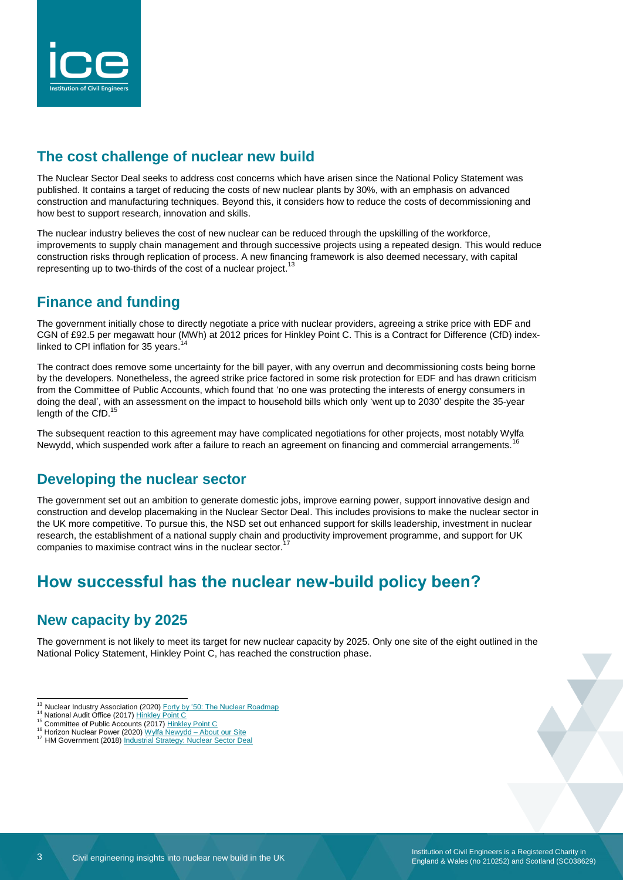

#### **The cost challenge of nuclear new build**

The Nuclear Sector Deal seeks to address cost concerns which have arisen since the National Policy Statement was published. It contains a target of reducing the costs of new nuclear plants by 30%, with an emphasis on advanced construction and manufacturing techniques. Beyond this, it considers how to reduce the costs of decommissioning and how best to support research, innovation and skills.

The nuclear industry believes the cost of new nuclear can be reduced through the upskilling of the workforce, improvements to supply chain management and through successive projects using a repeated design. This would reduce construction risks through replication of process. A new financing framework is also deemed necessary, with capital representing up to two-thirds of the cost of a nuclear project.<sup>13</sup>

#### **Finance and funding**

The government initially chose to directly negotiate a price with nuclear providers, agreeing a strike price with EDF and CGN of £92.5 per megawatt hour (MWh) at 2012 prices for Hinkley Point C. This is a Contract for Difference (CfD) indexlinked to CPI inflation for 35 years.

The contract does remove some uncertainty for the bill payer, with any overrun and decommissioning costs being borne by the developers. Nonetheless, the agreed strike price factored in some risk protection for EDF and has drawn criticism from the Committee of Public Accounts, which found that 'no one was protecting the interests of energy consumers in doing the deal', with an assessment on the impact to household bills which only 'went up to 2030' despite the 35-year length of the CfD.<sup>15</sup>

The subsequent reaction to this agreement may have complicated negotiations for other projects, most notably Wylfa Newydd, which suspended work after a failure to reach an agreement on financing and commercial arrangements.<sup>16</sup>

#### **Developing the nuclear sector**

The government set out an ambition to generate domestic jobs, improve earning power, support innovative design and construction and develop placemaking in the Nuclear Sector Deal. This includes provisions to make the nuclear sector in the UK more competitive. To pursue this, the NSD set out enhanced support for skills leadership, investment in nuclear research, the establishment of a national supply chain and productivity improvement programme, and support for UK companies to maximise contract wins in the nuclear sector.

## **How successful has the nuclear new-build policy been?**

#### **New capacity by 2025**

The government is not likely to meet its target for new nuclear capacity by 2025. Only one site of the eight outlined in the National Policy Statement, Hinkley Point C, has reached the construction phase.

<sup>&</sup>lt;sup>13</sup> Nuclear Industry Association (2020) [Forty by '50: The Nuclear Roadmap](https://www.niauk.org/wp-content/uploads/2020/06/Fortyby50_TheNuclearRoadmap_200624.pdf)

<sup>14</sup> National Audit Office (2017[\) Hinkley Point C](https://www.nao.org.uk/wp-content/uploads/2017/06/Hinkley-Point-C.pdf)

<sup>&</sup>lt;sup>15</sup> Committee of Public Accounts (2017) [Hinkley Point C](https://publications.parliament.uk/pa/cm201719/cmselect/cmpubacc/393/393.pdf) <sup>16</sup> Horizon Nuclear Power (2020[\) Wylfa Newydd –](https://www.horizonnuclearpower.com/our-sites/wylfa-newydd) About our Site

<sup>&</sup>lt;sup>17</sup> HM Government (2018) <u>Industrial Strategy: Nuclear Sector Deal</u>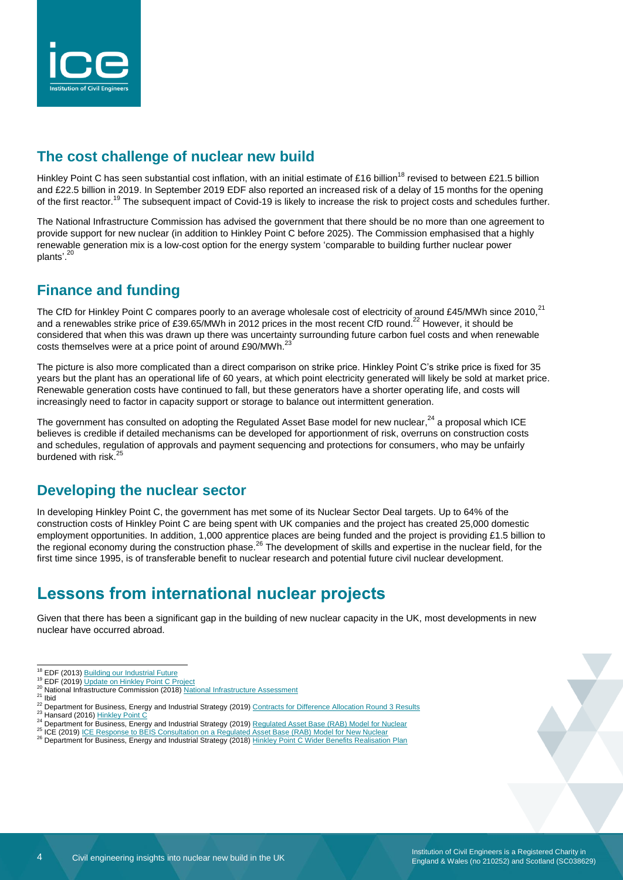

#### **The cost challenge of nuclear new build**

Hinkley Point C has seen substantial cost inflation, with an initial estimate of £16 billion<sup>18</sup> revised to between £21.5 billion and £22.5 billion in 2019. In September 2019 EDF also reported an increased risk of a delay of 15 months for the opening of the first reactor.<sup>19</sup> The subsequent impact of Covid-19 is likely to increase the risk to project costs and schedules further.

The National Infrastructure Commission has advised the government that there should be no more than one agreement to provide support for new nuclear (in addition to Hinkley Point C before 2025). The Commission emphasised that a highly renewable generation mix is a low-cost option for the energy system 'comparable to building further nuclear power plants'.<sup>20</sup>

#### **Finance and funding**

The CfD for Hinkley Point C compares poorly to an average wholesale cost of electricity of around £45/MWh since  $2010<sup>21</sup>$ and a renewables strike price of £39.65/MWh in 2012 prices in the most recent CfD round.<sup>22</sup> However, it should be considered that when this was drawn up there was uncertainty surrounding future carbon fuel costs and when renewable costs themselves were at a price point of around  $£90/MWh.<sup>2</sup>$ 

The picture is also more complicated than a direct comparison on strike price. Hinkley Point C's strike price is fixed for 35 years but the plant has an operational life of 60 years, at which point electricity generated will likely be sold at market price. Renewable generation costs have continued to fall, but these generators have a shorter operating life, and costs will increasingly need to factor in capacity support or storage to balance out intermittent generation.

The government has consulted on adopting the Regulated Asset Base model for new nuclear,<sup>24</sup> a proposal which ICE believes is credible if detailed mechanisms can be developed for apportionment of risk, overruns on construction costs and schedules, regulation of approvals and payment sequencing and protections for consumers, who may be unfairly burdened with risk.<sup>25</sup>

#### **Developing the nuclear sector**

In developing Hinkley Point C, the government has met some of its Nuclear Sector Deal targets. Up to 64% of the construction costs of Hinkley Point C are being spent with UK companies and the project has created 25,000 domestic employment opportunities. In addition, 1,000 apprentice places are being funded and the project is providing £1.5 billion to the regional economy during the construction phase.<sup>26</sup> The development of skills and expertise in the nuclear field, for the first time since 1995, is of transferable benefit to nuclear research and potential future civil nuclear development.

## **Lessons from international nuclear projects**

Given that there has been a significant gap in the building of new nuclear capacity in the UK, most developments in new nuclear have occurred abroad.

<sup>19</sup> EDF (2019[\) Update on Hinkley Point C Project](https://www.edfenergy.com/media-centre/news-releases/update-on-hinkley-point-c-project)

l

<sup>25</sup> ICE (2019[\) ICE Response to BEIS Consultation on a Regulated Asset Base \(RAB\) Model for New Nuclear](https://www.ice.org.uk/getattachment/news-and-insight/policy/beis-consultation-rab-model-new-nuclear/ICE-RAB-consultation-response-FINAL.pdf.aspx#_ga=2.266453454.1389270587.1586437064-497007370.1579853452)

<sup>&</sup>lt;sup>18</sup> EDF (2013[\) Building our Industrial Future](https://www.hinkleysupplychain.co.uk/wp-content/uploads/2014/05/HPC_Supplier_Booklet.pdf)

<sup>20</sup> [National Infrastructure](https://www.nic.org.uk/wp-content/uploads/CCS001_CCS0618917350-001_NIC-NIA_Accessible.pdf) Commission (2018) National Infrastructure Assessment

 $21$  Ibid

<sup>22</sup> Department for Business, Energy and Industrial Strategy (2019[\) Contracts for Difference Allocation Round 3 Results](https://assets.publishing.service.gov.uk/government/uploads/system/uploads/attachment_data/file/838914/cfd-ar3-results-corrected-111019.pdf) 23 Hansard (2016) [Hinkley Point C](https://hansard.parliament.uk/Commons/2016-09-15/debates/82B019B0-A8CB-4E5B-8783-567EFA219FBA/HinkleyPointC)

<sup>24</sup> Department for Business, Energy and Industrial Strategy (2019[\) Regulated Asset Base \(RAB\) Model for Nuclear](https://www.gov.uk/government/consultations/regulated-asset-base-rab-model-for-nuclear)

<sup>26</sup> Department for Business, Energy and Industrial Strategy (2018[\) Hinkley Point C Wider Benefits Realisation Plan](https://assets.publishing.service.gov.uk/government/uploads/system/uploads/attachment_data/file/725960/HPC_Benefits_Realisation_Plan.pdf)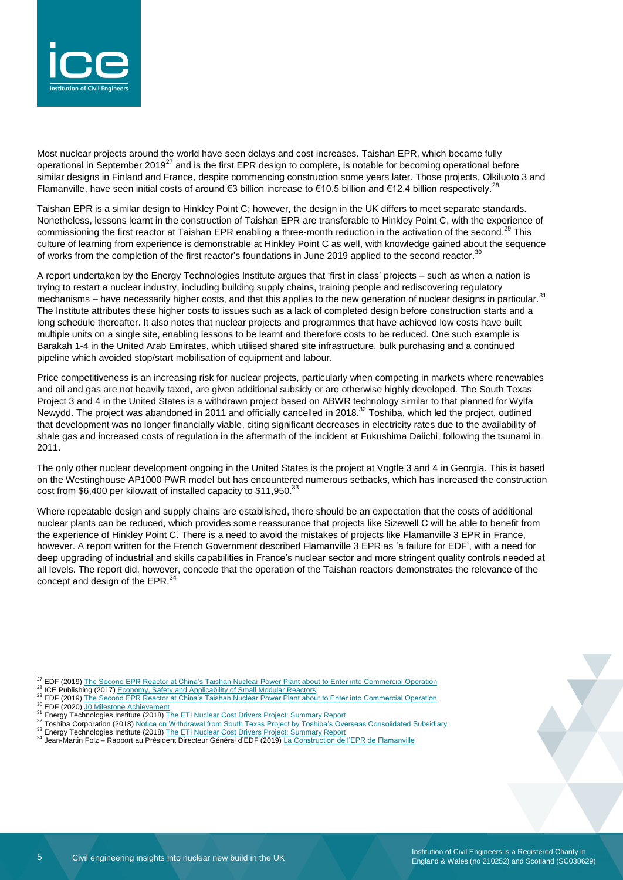

Most nuclear projects around the world have seen delays and cost increases. Taishan EPR, which became fully operational in September 2019<sup>27</sup> and is the first EPR design to complete, is notable for becoming operational before similar designs in Finland and France, despite commencing construction some years later. Those projects, Olkiluoto 3 and Flamanville, have seen initial costs of around €3 billion increase to €10.5 billion and €12.4 billion respectively.<sup>28</sup>

Taishan EPR is a similar design to Hinkley Point C; however, the design in the UK differs to meet separate standards. Nonetheless, lessons learnt in the construction of Taishan EPR are transferable to Hinkley Point C, with the experience of commissioning the first reactor at Taishan EPR enabling a three-month reduction in the activation of the second.<sup>29</sup> This culture of learning from experience is demonstrable at Hinkley Point C as well, with knowledge gained about the sequence of works from the completion of the first reactor's foundations in June 2019 applied to the second reactor.<sup>30</sup>

A report undertaken by the Energy Technologies Institute argues that 'first in class' projects – such as when a nation is trying to restart a nuclear industry, including building supply chains, training people and rediscovering regulatory mechanisms – have necessarily higher costs, and that this applies to the new generation of nuclear designs in particular.<sup>31</sup> The Institute attributes these higher costs to issues such as a lack of completed design before construction starts and a long schedule thereafter. It also notes that nuclear projects and programmes that have achieved low costs have built multiple units on a single site, enabling lessons to be learnt and therefore costs to be reduced. One such example is Barakah 1-4 in the United Arab Emirates, which utilised shared site infrastructure, bulk purchasing and a continued pipeline which avoided stop/start mobilisation of equipment and labour.

Price competitiveness is an increasing risk for nuclear projects, particularly when competing in markets where renewables and oil and gas are not heavily taxed, are given additional subsidy or are otherwise highly developed. The South Texas Project 3 and 4 in the United States is a withdrawn project based on ABWR technology similar to that planned for Wylfa Newydd. The project was abandoned in 2011 and officially cancelled in 2018.<sup>32</sup> Toshiba, which led the project, outlined that development was no longer financially viable, citing significant decreases in electricity rates due to the availability of shale gas and increased costs of regulation in the aftermath of the incident at Fukushima Daiichi, following the tsunami in 2011.

The only other nuclear development ongoing in the United States is the project at Vogtle 3 and 4 in Georgia. This is based on the Westinghouse AP1000 PWR model but has encountered numerous setbacks, which has increased the construction cost from \$6,400 per kilowatt of installed capacity to \$11,950.<sup>33</sup>

Where repeatable design and supply chains are established, there should be an expectation that the costs of additional nuclear plants can be reduced, which provides some reassurance that projects like Sizewell C will be able to benefit from the experience of Hinkley Point C. There is a need to avoid the mistakes of projects like Flamanville 3 EPR in France, however. A report written for the French Government described Flamanville 3 EPR as 'a failure for EDF', with a need for deep upgrading of industrial and skills capabilities in France's nuclear sector and more stringent quality controls needed at all levels. The report did, however, concede that the operation of the Taishan reactors demonstrates the relevance of the concept and design of the EPR.<sup>3</sup>

<sup>&</sup>lt;sup>27</sup> EDF (2019[\) The Second EPR Reactor at China's Taishan Nuclear Power Plant about to Enter into Commercial Operation](https://www.edf.fr/en/edf/the-second-epr-reactor-at-china-s-taishan-nuclear-power-plant-about-to-enter-into-commercial-operation)

<sup>&</sup>lt;sup>28</sup> ICE Publishing (2017[\) Economy, Safety and Applicability of Small Modular Reactors](https://www.icevirtuallibrary.com/doi/pdf/10.1680/jener.16.00009)

<sup>&</sup>lt;sup>29</sup> EDF (2019[\) The Second EPR Reactor at China's Taishan Nuclear Power Plant about to Enter into Commercial Operation](https://www.edf.fr/en/edf/the-second-epr-reactor-at-china-s-taishan-nuclear-power-plant-about-to-enter-into-commercial-operation)

<sup>&</sup>lt;sup>30</sup> EDF (2020) JO Milestone Achievement

<sup>&</sup>lt;sup>31</sup> Energy Technologies Institute (2018[\) The ETI Nuclear Cost Drivers Project: Summary Report](https://d2umxnkyjne36n.cloudfront.net/documents/D7.3-ETI-Nuclear-Cost-Drivers-Summary-Report_April-20.pdf?mtime=20180426151016)

<sup>32</sup> Toshiba Corporation (2018) [Notice on Withdrawal from South Texas Project by Toshiba's Overseas Consolidated Subsidiary](http://www.toshiba.co.jp/about/ir/en/news/20180531_1.pdf)

<sup>33</sup> Energy Technologies Institute (2018[\) The ETI Nuclear Cost Drivers Project: Summary Report](https://d2umxnkyjne36n.cloudfront.net/documents/D7.3-ETI-Nuclear-Cost-Drivers-Summary-Report_April-20.pdf?mtime=20180426151016)

<sup>34</sup> Jean-Martin Folz – Rapport au Président Directeur Général d'EDF (2019[\) La Construction de l'EPR de Flamanville](https://minefi.hosting.augure.com/Augure_Minefi/r/ContenuEnLigne/Download?id=104AF2DA-FA4D-4BED-B666-4D582E2C7A8A&filename=1505%20-Rapport%20Flamanville%20pdf.pdf)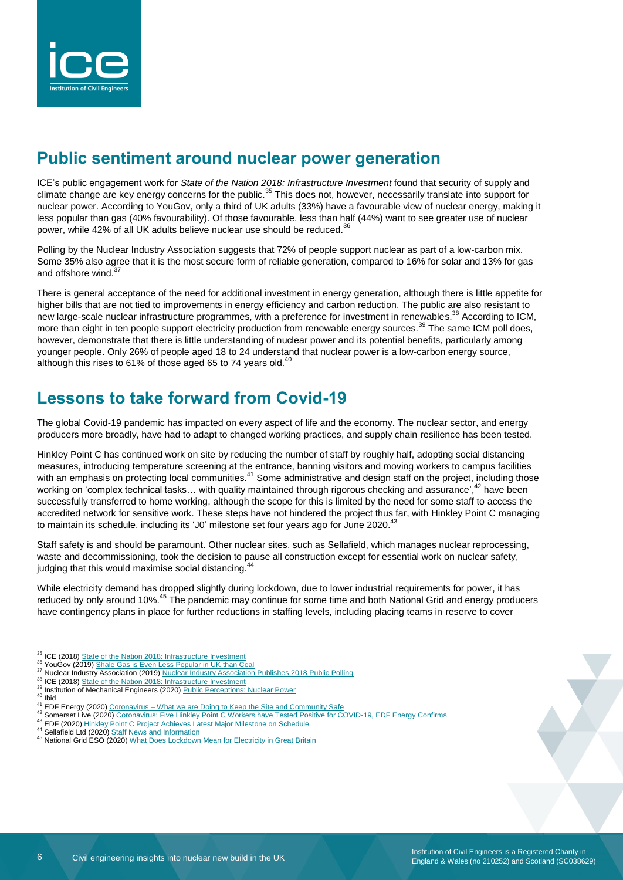

## **Public sentiment around nuclear power generation**

ICE's public engagement work for *State of the Nation 2018: Infrastructure Investment* found that security of supply and climate change are key energy concerns for the public.<sup>35</sup> This does not, however, necessarily translate into support for nuclear power. According to YouGov, only a third of UK adults (33%) have a favourable view of nuclear energy, making it less popular than gas (40% favourability). Of those favourable, less than half (44%) want to see greater use of nuclear power, while 42% of all UK adults believe nuclear use should be reduced.<sup>3</sup>

Polling by the Nuclear Industry Association suggests that 72% of people support nuclear as part of a low-carbon mix. Some 35% also agree that it is the most secure form of reliable generation, compared to 16% for solar and 13% for gas and offshore wind. $\overline{3}$ 

There is general acceptance of the need for additional investment in energy generation, although there is little appetite for higher bills that are not tied to improvements in energy efficiency and carbon reduction. The public are also resistant to new large-scale nuclear infrastructure programmes, with a preference for investment in renewables.<sup>38</sup> According to ICM, more than eight in ten people support electricity production from renewable energy sources.<sup>39</sup> The same ICM poll does, however, demonstrate that there is little understanding of nuclear power and its potential benefits, particularly among younger people. Only 26% of people aged 18 to 24 understand that nuclear power is a low-carbon energy source, although this rises to 61% of those aged 65 to 74 years old.<sup>40</sup>

## **Lessons to take forward from Covid-19**

The global Covid-19 pandemic has impacted on every aspect of life and the economy. The nuclear sector, and energy producers more broadly, have had to adapt to changed working practices, and supply chain resilience has been tested.

Hinkley Point C has continued work on site by reducing the number of staff by roughly half, adopting social distancing measures, introducing temperature screening at the entrance, banning visitors and moving workers to campus facilities with an emphasis on protecting local communities.<sup>41</sup> Some administrative and design staff on the project, including those working on 'complex technical tasks... with quality maintained through rigorous checking and assurance',<sup>42</sup> have been successfully transferred to home working, although the scope for this is limited by the need for some staff to access the accredited network for sensitive work. These steps have not hindered the project thus far, with Hinkley Point C managing to maintain its schedule, including its 'J0' milestone set four years ago for June 2020.<sup>43</sup>

Staff safety is and should be paramount. Other nuclear sites, such as Sellafield, which manages nuclear reprocessing, waste and decommissioning, took the decision to pause all construction except for essential work on nuclear safety, judging that this would maximise social distancing.<sup>44</sup>

While electricity demand has dropped slightly during lockdown, due to lower industrial requirements for power, it has reduced by only around 10%.<sup>45</sup> The pandemic may continue for some time and both National Grid and energy producers have contingency plans in place for further reductions in staffing levels, including placing teams in reserve to cover

<sup>&</sup>lt;sup>35</sup> ICE (2018[\) State of the Nation 2018: Infrastructure Investment](https://www.ice.org.uk/ICEDevelopmentWebPortal/media/Documents/Media/Policy/ICE-SoN-Investment-2018.pdf)

<sup>&</sup>lt;sup>36</sup> YouGov (2019) [Shale Gas is Even Less Popular in UK than Coal](https://yougov.co.uk/topics/science/articles-reports/2019/10/22/shale-gas-even-less-popular-uk-coal)

<sup>&</sup>lt;sup>37</sup> Nuclear Industry Association (2019[\) Nuclear Industry Association Publishes 2018 Public Polling](https://www.niauk.org/media-centre/press-releases/nuclear-industry-association-publishes-2018-public-polling/)

<sup>38</sup> ICE (2018[\) State of the Nation 2018: Infrastructure Investment](https://www.ice.org.uk/ICEDevelopmentWebPortal/media/Documents/Media/Policy/ICE-SoN-Investment-2018.pdf)

<sup>&</sup>lt;sup>39</sup> Institution of Mechanical Engineers (2020) <u>Public Perceptions:</u> Nuclear Power

 $40$  Ibid

<sup>41</sup> EDF Energy (2020) Coronavirus – [What we are Doing to Keep the Site and Community Safe](https://www.edfenergy.com/energy/nuclear-new-build-projects/hinkley-point-c/news-views/coronavirus-keeping-site-and-community-safe)

<sup>42</sup> Somerset Live (2020[\) Coronavirus: Five Hinkley Point C Workers have Tested Positive for COVID-19, EDF Energy Confirms](https://www.somersetlive.co.uk/news/somerset-news/hinkley-point-coronavirus-claims-latest-4108166)

<sup>43</sup> EDF (2020[\) Hinkley Point C Project Achieves Latest Major Milestone on Schedule](https://www.edfenergy.com/energy/nuclear-new-build-projects/hinkley-point-c/j0/news-views/hinkley-point-c-project-achieves-latest-major-milestone-on-schedule)

<sup>44</sup> Sellafield Ltd (2020) [Staff News and Information](https://www.gov.uk/government/organisations/sellafield-ltd/about/staff-update#update-from-our-chief-executive-martin-chown---friday-15-may)

<sup>45</sup> National Grid ESO (2020[\) What Does Lockdown Mean for Electricity in Great Britain](https://www.nationalgrideso.com/news/what-does-lockdown-mean-electricity-great-britain)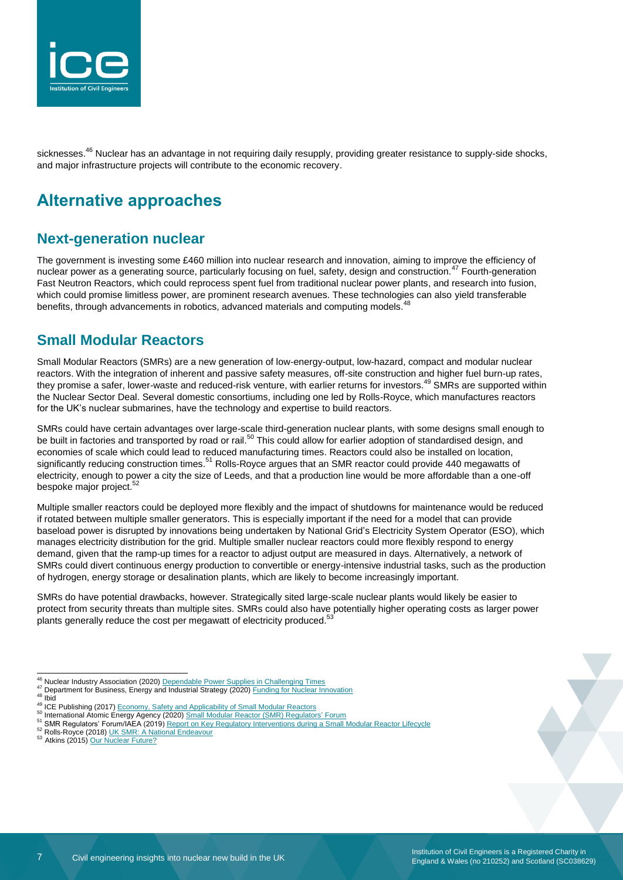

sicknesses.<sup>46</sup> Nuclear has an advantage in not requiring daily resupply, providing greater resistance to supply-side shocks, and major infrastructure projects will contribute to the economic recovery.

## **Alternative approaches**

#### **Next-generation nuclear**

The government is investing some £460 million into nuclear research and innovation, aiming to improve the efficiency of nuclear power as a generating source, particularly focusing on fuel, safety, design and construction.<sup>47</sup> Fourth-generation Fast Neutron Reactors, which could reprocess spent fuel from traditional nuclear power plants, and research into fusion, which could promise limitless power, are prominent research avenues. These technologies can also yield transferable benefits, through advancements in robotics, advanced materials and computing models.

#### **Small Modular Reactors**

Small Modular Reactors (SMRs) are a new generation of low-energy-output, low-hazard, compact and modular nuclear reactors. With the integration of inherent and passive safety measures, off-site construction and higher fuel burn-up rates, they promise a safer, lower-waste and reduced-risk venture, with earlier returns for investors.<sup>49</sup> SMRs are supported within the Nuclear Sector Deal. Several domestic consortiums, including one led by Rolls-Royce, which manufactures reactors for the UK's nuclear submarines, have the technology and expertise to build reactors.

SMRs could have certain advantages over large-scale third-generation nuclear plants, with some designs small enough to be built in factories and transported by road or rail.<sup>50</sup> This could allow for earlier adoption of standardised design, and the built in factories and transported by road or rail.<sup>50</sup> This could allow for earlier adoption economies of scale which could lead to reduced manufacturing times. Reactors could also be installed on location, significantly reducing construction times.<sup>51</sup> Rolls-Royce argues that an SMR reactor could provide 440 megawatts of electricity, enough to power a city the size of Leeds, and that a production line would be more affordable than a one-off bespoke major project.<sup>52</sup>

Multiple smaller reactors could be deployed more flexibly and the impact of shutdowns for maintenance would be reduced if rotated between multiple smaller generators. This is especially important if the need for a model that can provide baseload power is disrupted by innovations being undertaken by National Grid's Electricity System Operator (ESO), which manages electricity distribution for the grid. Multiple smaller nuclear reactors could more flexibly respond to energy demand, given that the ramp-up times for a reactor to adjust output are measured in days. Alternatively, a network of SMRs could divert continuous energy production to convertible or energy-intensive industrial tasks, such as the production of hydrogen, energy storage or desalination plants, which are likely to become increasingly important.

SMRs do have potential drawbacks, however. Strategically sited large-scale nuclear plants would likely be easier to protect from security threats than multiple sites. SMRs could also have potentially higher operating costs as larger power plants generally reduce the cost per megawatt of electricity produced.<sup>53</sup>

- <sup>46</sup> Nuclear Industry Association (2020[\) Dependable Power Supplies in Challenging Times](https://www.niauk.org/media-centre/blog/dependable-power-supplies-challenging-times/)
- 47 Department for Business, Energy and Industrial Strategy (2020[\) Funding for Nuclear Innovation](https://www.gov.uk/guidance/funding-for-nuclear-innovation)
- $48$  Ibid

- <sup>52</sup> Rolls-Royce (2018[\) UK SMR: A National Endeavour](https://www.rolls-royce.com/~/media/Files/R/Rolls-Royce/documents/customers/nuclear/a-national-endeavour.pdf)
- <sup>53</sup> Atkins (2015[\) Our Nuclear Future?](https://www.atkinsglobal.com/en-GB/angles/all-angles/our-nuclear-future)

<sup>49</sup> ICE Publishing (2017[\) Economy, Safety and Applicability of Small Modular Reactors](https://www.icevirtuallibrary.com/doi/pdf/10.1680/jener.16.00009)

<sup>50</sup> International Atomic Energy Agency (2020) [Small Modular Reactor \(SMR\) Regulators'](https://www.iaea.org/topics/small-modular-reactors/smr-regulators-forum) Forum

<sup>51</sup> SMR Regulators' Forum/IAEA (2019[\) Report on Key Regulatory Interventions during a Small Modular Reactor Lifecycle](https://www.iaea.org/sites/default/files/19/12/smr_rf_kri_interim_report.pdf)